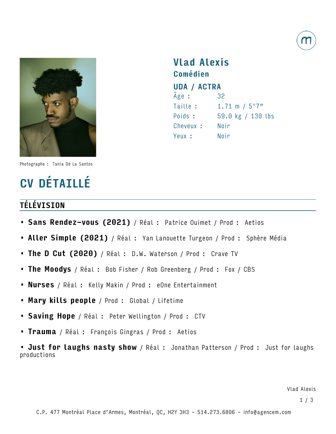



Vlad Alexis Comédien UDA / ACTRA Âge : 32 Taille : 1.71 m / 5'7" Poids : 59.0 kg / 130 lbs Cheveux : Noir Yeux : Noir

Photographe : Tania De La Santos

# CV DÉTAILLÉ

### TÉLÉVISION

- Sans Rendez-vous (2021) / Réal : Patrice Ouimet / Prod : Aetios
- Aller Simple (2021) / Réal : Yan Lanouette Turgeon / Prod : Sphère Média
- The D Cut (2020) / Réal : D.W. Waterson / Prod : Crave TV
- The Moodys / Réal : Bob Fisher / Rob Greenberg / Prod : Fox / CBS
- **Nurses** / Réal : Kelly Makin / Prod : eOne Entertainment
- Mary kills people / Prod : Global / Lifetime
- Saving Hope / Réal : Peter Wellington / Prod : CTV
- Trauma / Réal : François Gingras / Prod : Aetios

• Just for laughs nasty show / Réal : Jonathan Patterson / Prod : Just for laughs productions

Vlad Alexis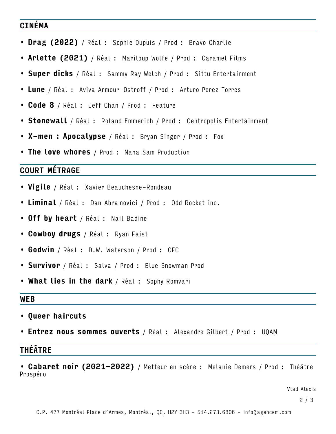### CINÉMA

- Drag (2022) / Réal : Sophie Dupuis / Prod : Bravo Charlie
- Arlette (2021) / Réal : Mariloup Wolfe / Prod : Caramel Films
- Super dicks / Réal : Sammy Ray Welch / Prod : Sittu Entertainment
- Lune / Réal : Aviva Armour-Ostroff / Prod : Arturo Perez Torres
- Code 8 / Réal : Jeff Chan / Prod : Feature
- Stonewall / Réal : Roland Emmerich / Prod : Centropolis Entertainment
- **X-men : Apocalypse** / Réal : Bryan Singer / Prod : Fox
- The love whores / Prod : Nana Sam Production

# COURT MÉTRAGE

- **Vigile** / Réal : Xavier Beauchesne-Rondeau
- Liminal / Réal : Dan Abramovici / Prod : Odd Rocket inc.
- Off by heart / Réal : Nail Badine
- Cowboy drugs / Réal : Ryan Faist
- Godwin / Réal : D.W. Waterson / Prod : CFC
- Survivor / Réal : Salva / Prod : Blue Snowman Prod
- What lies in the dark / Réal : Sophy Romvari

#### **WEB**

- Queer haircuts
- **Entrez nous sommes ouverts** / Réal : Alexandre Gilbert / Prod : UQAM

## THÉÂTRE

• Cabaret noir (2021-2022) / Metteur en scène : Melanie Demers / Prod : Théâtre Prospéro

Vlad Alexis

2 / 3